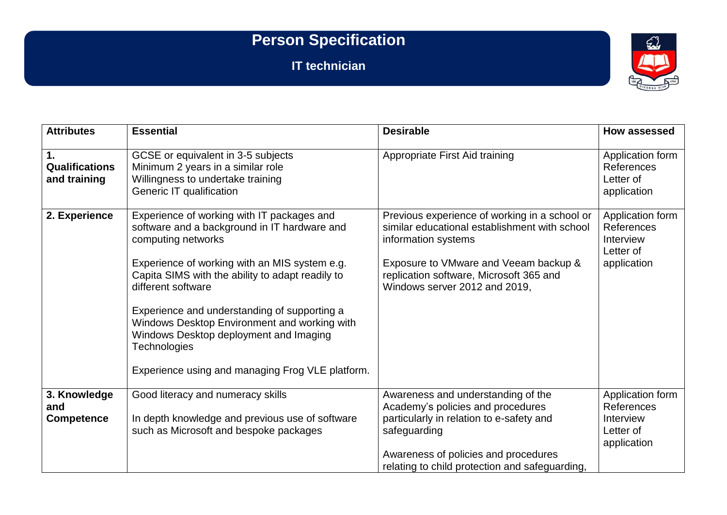## **Person Specification**

**IT technician**



| <b>Attributes</b>                        | <b>Essential</b>                                                                                                                                                                                                                                                                                                                                                                                                                                                 | <b>Desirable</b>                                                                                                                                                                                                                           | How assessed                                                            |
|------------------------------------------|------------------------------------------------------------------------------------------------------------------------------------------------------------------------------------------------------------------------------------------------------------------------------------------------------------------------------------------------------------------------------------------------------------------------------------------------------------------|--------------------------------------------------------------------------------------------------------------------------------------------------------------------------------------------------------------------------------------------|-------------------------------------------------------------------------|
| 1.<br>Qualifications<br>and training     | GCSE or equivalent in 3-5 subjects<br>Minimum 2 years in a similar role<br>Willingness to undertake training<br>Generic IT qualification                                                                                                                                                                                                                                                                                                                         | Appropriate First Aid training                                                                                                                                                                                                             | Application form<br>References<br>Letter of<br>application              |
| 2. Experience                            | Experience of working with IT packages and<br>software and a background in IT hardware and<br>computing networks<br>Experience of working with an MIS system e.g.<br>Capita SIMS with the ability to adapt readily to<br>different software<br>Experience and understanding of supporting a<br>Windows Desktop Environment and working with<br>Windows Desktop deployment and Imaging<br><b>Technologies</b><br>Experience using and managing Frog VLE platform. | Previous experience of working in a school or<br>similar educational establishment with school<br>information systems<br>Exposure to VMware and Veeam backup &<br>replication software, Microsoft 365 and<br>Windows server 2012 and 2019, | Application form<br>References<br>Interview<br>Letter of<br>application |
| 3. Knowledge<br>and<br><b>Competence</b> | Good literacy and numeracy skills<br>In depth knowledge and previous use of software<br>such as Microsoft and bespoke packages                                                                                                                                                                                                                                                                                                                                   | Awareness and understanding of the<br>Academy's policies and procedures<br>particularly in relation to e-safety and<br>safeguarding<br>Awareness of policies and procedures<br>relating to child protection and safeguarding,              | Application form<br>References<br>Interview<br>Letter of<br>application |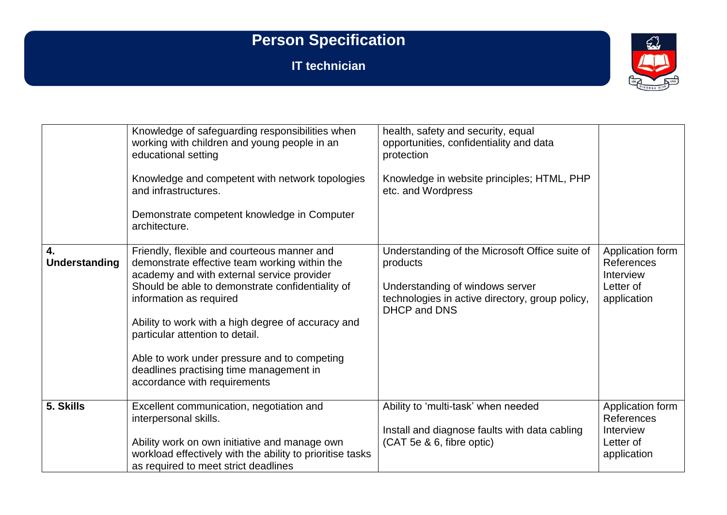## **Person Specification**

**IT technician**



|                            | Knowledge of safeguarding responsibilities when<br>working with children and young people in an<br>educational setting<br>Knowledge and competent with network topologies<br>and infrastructures.<br>Demonstrate competent knowledge in Computer<br>architecture.                                                                                                                                                                             | health, safety and security, equal<br>opportunities, confidentiality and data<br>protection<br>Knowledge in website principles; HTML, PHP<br>etc. and Wordpress         |                                                                         |
|----------------------------|-----------------------------------------------------------------------------------------------------------------------------------------------------------------------------------------------------------------------------------------------------------------------------------------------------------------------------------------------------------------------------------------------------------------------------------------------|-------------------------------------------------------------------------------------------------------------------------------------------------------------------------|-------------------------------------------------------------------------|
| 4.<br><b>Understanding</b> | Friendly, flexible and courteous manner and<br>demonstrate effective team working within the<br>academy and with external service provider<br>Should be able to demonstrate confidentiality of<br>information as required<br>Ability to work with a high degree of accuracy and<br>particular attention to detail.<br>Able to work under pressure and to competing<br>deadlines practising time management in<br>accordance with requirements | Understanding of the Microsoft Office suite of<br>products<br>Understanding of windows server<br>technologies in active directory, group policy,<br><b>DHCP and DNS</b> | Application form<br>References<br>Interview<br>Letter of<br>application |
| 5. Skills                  | Excellent communication, negotiation and<br>interpersonal skills.<br>Ability work on own initiative and manage own<br>workload effectively with the ability to prioritise tasks<br>as required to meet strict deadlines                                                                                                                                                                                                                       | Ability to 'multi-task' when needed<br>Install and diagnose faults with data cabling<br>(CAT 5e & 6, fibre optic)                                                       | Application form<br>References<br>Interview<br>Letter of<br>application |